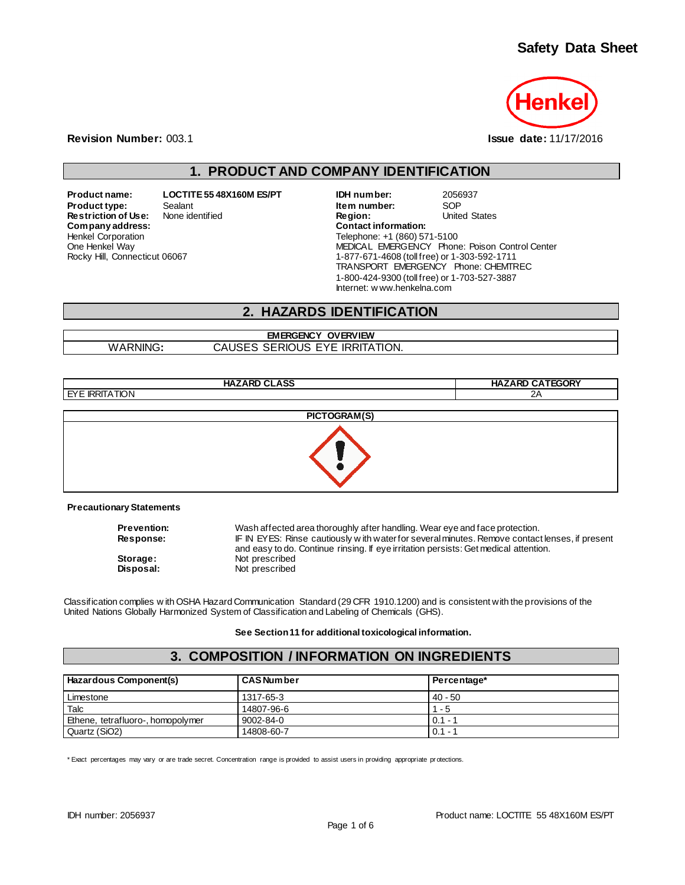### **Safety Data Sheet**



**Revision Number:** 003.1 **Issue date:** 11/17/2016

## **1. PRODUCT AND COMPANY IDENTIFICATION**

**Product name: LOCTITE 55 48X160M ES/PT IDH number:** 2056937 **Product type:** Sealant Sealant **Item number:** SOP<br> **Restriction of Use:** None identified **Integral Sealant Construct Construct** Construct Constants Charled States **Restriction of Use:** None identified **Region:** Region: United States Company address:  $Company address:$ Henkel Corporation One Henkel Way Rocky Hill, Connecticut 06067

Telephone: +1 (860) 571-5100 MEDICAL EMERGENCY Phone: Poison Control Center 1-877-671-4608 (toll free) or 1-303-592-1711 TRANSPORT EMERGENCY Phone: CHEMTREC 1-800-424-9300 (toll free) or 1-703-527-3887 Internet: w ww.henkelna.com

### **2. HAZARDS IDENTIFICATION**

#### **EMERGENCY OVERVIEW** WARNING**:** CAUSES SERIOUS EYE IRRITATION.

**HAZARD CLASS HAZARD CATEGORY** EYE IRRITATION 2A **PICTOGRAM(S)**



#### **Precautionary Statements**

| <b>Prevention:</b> | Wash affected area thoroughly after handling. Wear eye and face protection.                    |
|--------------------|------------------------------------------------------------------------------------------------|
| <b>Response:</b>   | IF IN EYES: Rinse cautiously with water for several minutes. Remove contact lenses, if present |
|                    | and easy to do. Continue rinsing. If eye irritation persists: Get medical attention.           |
| Storage:           | Not prescribed                                                                                 |
| Disposal:          | Not prescribed                                                                                 |

Classification complies w ith OSHA Hazard Communication Standard (29 CFR 1910.1200) and is consistent with the provisions of the United Nations Globally Harmonized System of Classification and Labeling of Chemicals (GHS).

**See Section 11 for additional toxicological information.**

#### **3. COMPOSITION / INFORMATION ON INGREDIENTS**

| Hazardous Component(s)            | l CAS Num ber | Percentage* |
|-----------------------------------|---------------|-------------|
| l Limestone                       | 1317-65-3     | $40 - 50$   |
| Talc                              | 14807-96-6    | $1 - 5$     |
| Ethene, tetrafluoro-, homopolymer | 9002-84-0     | $0.1 - 1$   |
| Quartz (SiO2)                     | 14808-60-7    | $0.1 -$     |

\* Exact percentages may vary or are trade secret. Concentration range is provided to assist users in providing appropriate pr otections.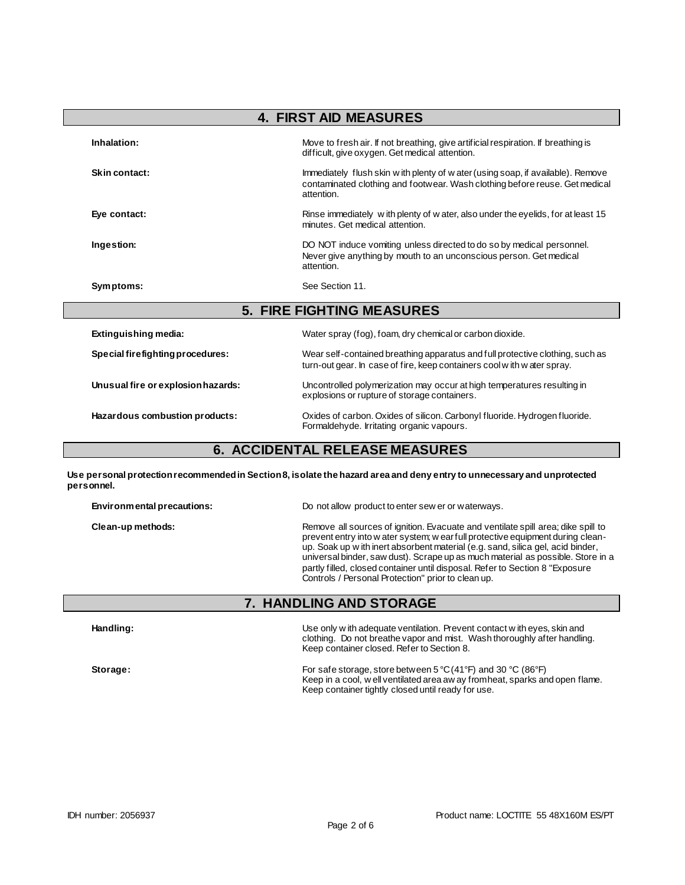| <b>4. FIRST AID MEASURES</b>       |                                                                                                                                                                               |  |
|------------------------------------|-------------------------------------------------------------------------------------------------------------------------------------------------------------------------------|--|
| Inhalation:                        | Move to fresh air. If not breathing, give artificial respiration. If breathing is<br>difficult, give oxygen. Get medical attention.                                           |  |
| Skin contact:                      | Immediately flush skin w ith plenty of w ater (using soap, if available). Remove<br>contaminated clothing and footwear. Wash clothing before reuse. Get medical<br>attention. |  |
| Eye contact:                       | Rinse immediately with plenty of w ater, also under the eyelids, for at least 15<br>minutes. Get medical attention.                                                           |  |
| Ingestion:                         | DO NOT induce vomiting unless directed to do so by medical personnel.<br>Never give anything by mouth to an unconscious person. Get medical<br>attention.                     |  |
| Symptoms:                          | See Section 11.                                                                                                                                                               |  |
|                                    | <b>5. FIRE FIGHTING MEASURES</b>                                                                                                                                              |  |
| Extinguishing media:               | Water spray (fog), foam, dry chemical or carbon dioxide.                                                                                                                      |  |
| Special firefighting procedures:   | Wear self-contained breathing apparatus and full protective clothing, such as<br>turn-out gear. In case of fire, keep containers cool with water spray.                       |  |
| Unusual fire or explosion hazards: | Uncontrolled polymerization may occur at high temperatures resulting in<br>explosions or rupture of storage containers.                                                       |  |
| Hazardous combustion products:     | Oxides of carbon. Oxides of silicon. Carbonyl fluoride. Hydrogen fluoride.<br>Formaldehyde. Irritating organic vapours.                                                       |  |

### **6. ACCIDENTAL RELEASE MEASURES**

**Use personal protection recommended in Section 8, isolate the hazard area and deny entry to unnecessary and unprotected personnel.**

| Environmental precautions: | Do not allow product to enter sew er or waterways.                                                                                                                                                                                                                                                                                                                                                                                                                              |
|----------------------------|---------------------------------------------------------------------------------------------------------------------------------------------------------------------------------------------------------------------------------------------------------------------------------------------------------------------------------------------------------------------------------------------------------------------------------------------------------------------------------|
| Clean-up methods:          | Remove all sources of ignition. Evacuate and ventilate spill area; dike spill to<br>prevent entry into w ater system; w ear full protective equipment during clean-<br>up. Soak up with inert absorbent material (e.g. sand, silica gel, acid binder,<br>universal binder, saw dust). Scrape up as much material as possible. Store in a<br>partly filled, closed container until disposal. Refer to Section 8 "Exposure"<br>Controls / Personal Protection" prior to clean up. |

## **7. HANDLING AND STORAGE**

| Handling: | Use only w ith adequate ventilation. Prevent contact w ith eyes, skin and<br>clothing. Do not breathe vapor and mist. Wash thoroughly after handling.<br>Keep container closed. Refer to Section 8.   |
|-----------|-------------------------------------------------------------------------------------------------------------------------------------------------------------------------------------------------------|
| Storage:  | For safe storage, store between 5 °C (41 °F) and 30 °C (86 °F)<br>Keep in a cool, w ell ventilated area aw ay from heat, sparks and open flame.<br>Keep container tightly closed until ready for use. |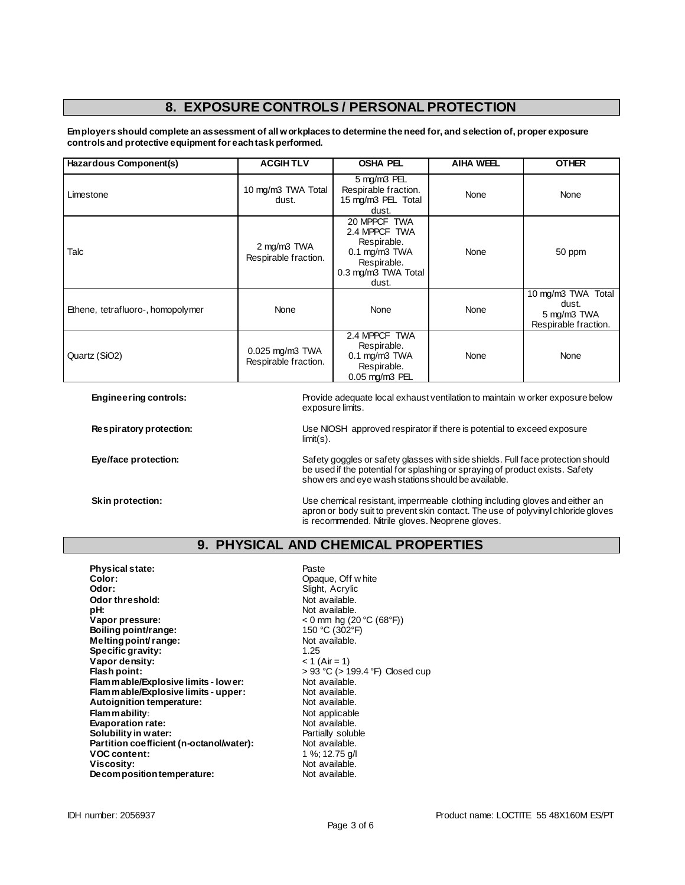# **8. EXPOSURE CONTROLS / PERSONAL PROTECTION**

**Employers should complete an assessment of all workplaces to determine the need for, and selection of, proper exposure controls and protective equipment for each task performed.**

| Hazardous Component(s)            | <b>ACGIHTLV</b>                              | <b>OSHA PEL</b>                                                                                                   | <b>AIHA WEEL</b> | <b>OTHER</b>                                                       |
|-----------------------------------|----------------------------------------------|-------------------------------------------------------------------------------------------------------------------|------------------|--------------------------------------------------------------------|
| Limestone                         | 10 mg/m3 TWA Total<br>dust.                  | 5 mg/m3 PEL<br>Respirable fraction.<br>15 mg/m3 PEL Total<br>dust.                                                | <b>None</b>      | None                                                               |
| Talc                              | 2 mg/m3 TWA<br>Respirable fraction.          | 20 MPPCF TWA<br>2.4 MPPCF TWA<br>Respirable.<br>$0.1$ mg/m $3$ TWA<br>Respirable.<br>0.3 mg/m3 TWA Total<br>dust. | <b>None</b>      | 50 ppm                                                             |
| Ethene, tetrafluoro-, homopolymer | None                                         | None                                                                                                              | None             | 10 mg/m3 TWA Total<br>dust.<br>5 mg/m3 TWA<br>Respirable fraction. |
| Quartz (SiO2)                     | $0.025$ mg/m $3$ TWA<br>Respirable fraction. | 2.4 MPPCF TWA<br>Respirable.<br>$0.1$ mg/m $3$ TWA<br>Respirable.<br>0.05 mg/m3 PEL                               | <b>None</b>      | None                                                               |

**Engineering controls:** Provide adequate local exhaust ventilation to maintain w orker exposure below exposure limits.

**Respiratory protection:** Use NIOSH approved respirator if there is potential to exceed exposure limit(s).

Eye/face protection: **Safety goggles or safety glasses with side shields**. Full face protection should be used if the potential for splashing or spraying of product exists. Safety show ers and eye wash stations should be available.

**Skin protection:** Use chemical resistant, impermeable clothing including gloves and either an under the state of the state of the state of the state of the state of the state of the state of the state of the state of the apron or body suit to prevent skin contact. The use of polyvinyl chloride gloves is recommended. Nitrile gloves. Neoprene gloves.

### **9. PHYSICAL AND CHEMICAL PROPERTIES**

**Physical state:** Physical state: Paste<br> **Color:** Paste Color: Physical state of Paste Color: Physical state of Paste Color: Physical state of Paste Color **Color:** Opaque, Off w hite **Odor:** Slight, Acrylic **Odor threshold:** Not available.<br> **pH:** Not available. **pH:**  $\blacksquare$  Not available.<br> **Vapor pressure:**  $\blacksquare$   $\blacksquare$   $\blacksquare$   $\blacksquare$   $\blacksquare$   $\blacksquare$   $\blacksquare$   $\blacksquare$   $\blacksquare$   $\blacksquare$   $\blacksquare$   $\blacksquare$   $\blacksquare$   $\blacksquare$   $\blacksquare$   $\blacksquare$   $\blacksquare$   $\blacksquare$   $\blacksquare$   $\blacksquare$   $\blacksquare$   $\blacksquare$   $\blacksquare$   $\blacksquare$   $\blacksquare$  **Vapor pressure:** < 0 mm hg (20 °C (68°F)) **Boiling point/range:** 150 °C (302 °F) **Melting point/ range:** Not available. **Specific gravity:** 1.25 **Vapor density:**  $<$  1 (Air = 1) **Flash point: Flash point: Flash point:**  $> 93^{\circ}$ C (> 199.4 °F) Closed cup<br> **Flam mable/Explosive limits - lower:** Not available. **Flammable/Explosive limits - lower:** Not available.<br> **Flammable/Explosive limits - upper:** Not available. **Flammable/Explosive limits - upper:** Not available.<br> **Autoignition temperature:** Not available. **Autoignition temperature: Flam mability:** Not applicable **Evaporation rate:**<br> **Solubility in water:** Not available.<br> **Solubility in water:** Not available by the Partially soluble **Solubility in water: Solubility in water:** Partially solub<br> **Partition coefficient (n-octanol/water):** Not available. Partition coefficient (n-octanol/water): **VOC content:** 1 %; 12.75 g/l<br> **Viscosity:** 1 Not available. Not available.<br>Not available. **Decomposition temperature:**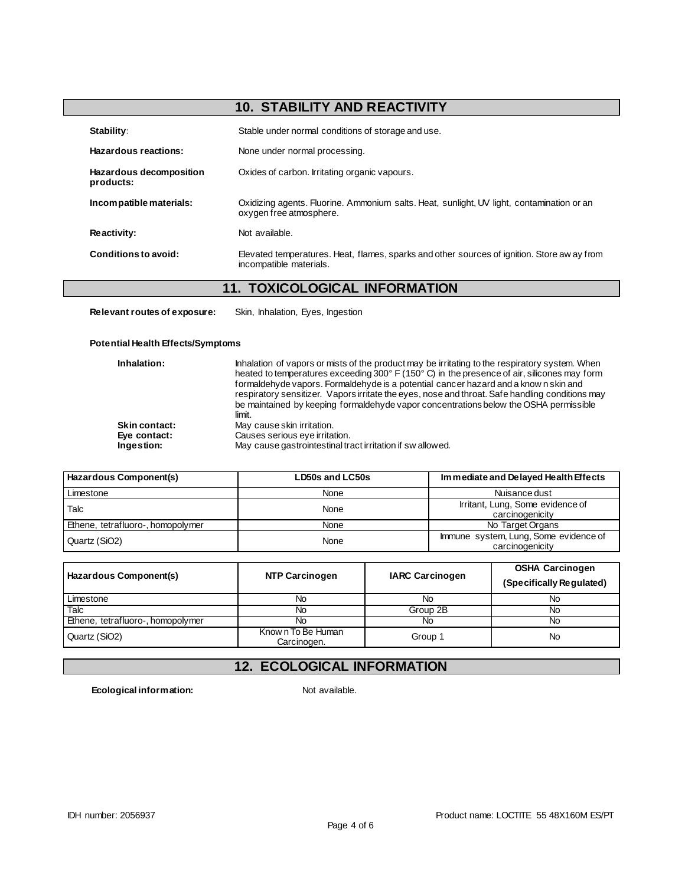# **10. STABILITY AND REACTIVITY**

| Stability:                           | Stable under normal conditions of storage and use.                                                                     |
|--------------------------------------|------------------------------------------------------------------------------------------------------------------------|
| Hazardous reactions:                 | None under normal processing.                                                                                          |
| Hazardous decomposition<br>products: | Oxides of carbon. Irritating organic vapours.                                                                          |
| Incompatible materials:              | Oxidizing agents. Fluorine. Ammonium salts. Heat, sunlight, UV light, contamination or an<br>oxygen free atmosphere.   |
| Reactivity:                          | Not available.                                                                                                         |
| Conditions to avoid:                 | Elevated temperatures. Heat, flames, sparks and other sources of ignition. Store aw ay from<br>incompatible materials. |

### **11. TOXICOLOGICAL INFORMATION**

**Relevant routes of exposure:** Skin, Inhalation, Eyes, Ingestion

#### **Potential Health Effects/Symptoms**

| Inhalation:          | Inhalation of vapors or mists of the product may be irritating to the respiratory system. When<br>heated to temperatures exceeding 300° F (150° C) in the presence of air, silicones may form<br>formaldehyde vapors. Formaldehyde is a potential cancer hazard and a know n skin and |
|----------------------|---------------------------------------------------------------------------------------------------------------------------------------------------------------------------------------------------------------------------------------------------------------------------------------|
|                      | respiratory sensitizer. Vapors irritate the eyes, nose and throat. Safe handling conditions may<br>be maintained by keeping formaldehyde vapor concentrations below the OSHA permissible<br>limit.                                                                                    |
| <b>Skin contact:</b> | May cause skin irritation.                                                                                                                                                                                                                                                            |
| Eye contact:         | Causes serious eye irritation.                                                                                                                                                                                                                                                        |
| Ingestion:           | May cause gastrointestinal tract irritation if swallowed.                                                                                                                                                                                                                             |

| Hazardous Component(s)            | LD50s and LC50s | Immediate and Delayed Health Effects                     |
|-----------------------------------|-----------------|----------------------------------------------------------|
| Limestone                         | None            | Nuisance dust                                            |
| Talc                              | None            | Irritant, Lung, Some evidence of<br>carcinogenicity      |
| Ethene, tetrafluoro-, homopolymer | None            | No Target Organs                                         |
| Quartz (SiO2)                     | None            | Immune system, Lung, Some evidence of<br>carcinogenicity |

| Hazardous Component(s)            | <b>NTP Carcinogen</b>            | <b>IARC Carcinogen</b> | <b>OSHA Carcinogen</b><br>(Specifically Regulated) |
|-----------------------------------|----------------------------------|------------------------|----------------------------------------------------|
| Limestone                         | No                               | No                     | No                                                 |
| Talc                              | No                               | Group 2B               | No                                                 |
| Ethene, tetrafluoro-, homopolymer | No                               | No                     | No                                                 |
| Quartz (SiO2)                     | Known To Be Human<br>Carcinogen. | Group 1                | No                                                 |

# **12. ECOLOGICAL INFORMATION**

**Ecological information:** Not available.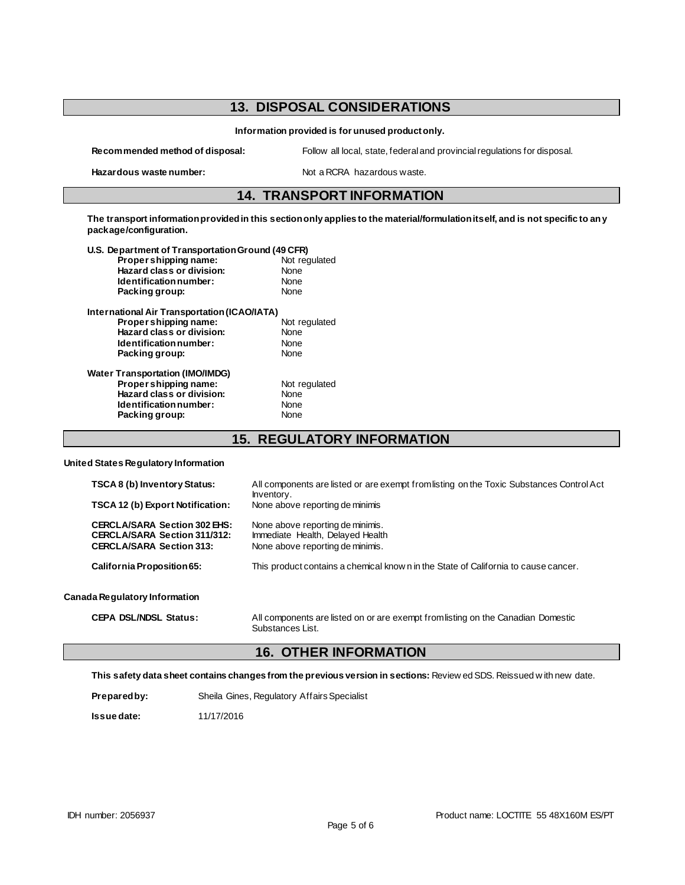# **13. DISPOSAL CONSIDERATIONS**

**Information provided is for unused product only.**

**Recommended method of disposal:** Follow all local, state, federal and provincial regulations for disposal.

Hazardous waste number: Not a RCRA hazardous waste.

#### **14. TRANSPORT INFORMATION**

**The transport information provided in this section only applies to the material/formulation itself, and is not specific to any package/configuration.**

| U.S. Department of Transportation Ground (49 CFR) |               |
|---------------------------------------------------|---------------|
| Proper shipping name:                             | Not regulated |
| Hazard class or division:                         | None          |
| Identification number:                            | None          |
| Packing group:                                    | None          |
| International Air Transportation (ICAO/IATA)      |               |
| Proper shipping name:                             | Not regulated |
| Hazard class or division:                         | None          |
| Identification number:                            | None          |
| Packing group:                                    | None          |
| <b>Water Transportation (IMO/IMDG)</b>            |               |
| Proper shipping name:                             | Not regulated |
| Hazard class or division:                         | None          |
| Identification number:                            | None          |
| Packing group:                                    | None          |
|                                                   |               |

**15. REGULATORY INFORMATION**

**United States Regulatory Information**

| <b>TSCA 8 (b) Inventory Status:</b>                                                                           | All components are listed or are exempt from listing on the Toxic Substances Control Act<br>Inventory.   |
|---------------------------------------------------------------------------------------------------------------|----------------------------------------------------------------------------------------------------------|
| TSCA 12 (b) Export Notification:                                                                              | None above reporting de minimis                                                                          |
| <b>CERCLA/SARA Section 302 EHS:</b><br><b>CERCLA/SARA Section 311/312:</b><br><b>CERCLA/SARA Section 313:</b> | None above reporting de minimis.<br>Immediate Health, Delayed Health<br>None above reporting de minimis. |
| California Proposition 65:                                                                                    | This product contains a chemical know n in the State of California to cause cancer.                      |
| Canada Regulatory Information                                                                                 |                                                                                                          |
| <b>CEPA DSL/NDSL Status:</b>                                                                                  | All components are listed on or are exempt from listing on the Canadian Domestic                         |

#### **16. OTHER INFORMATION**

Substances List.

**This safety data sheet contains changes from the previous version in sections:** Review ed SDS. Reissued w ith new date.

| Prepared by: | Sheila Gines, Regulatory Affairs Specialist |
|--------------|---------------------------------------------|
|--------------|---------------------------------------------|

**Issue date:** 11/17/2016